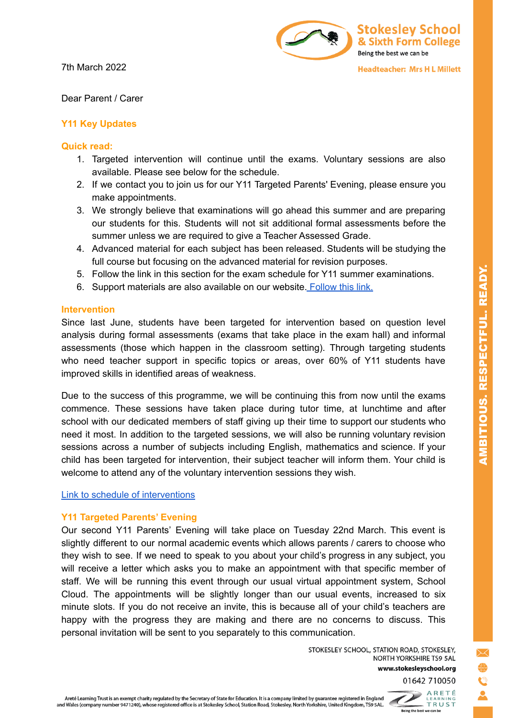7th March 2022



Dear Parent / Carer

# **Y11 Key Updates**

## **Quick read:**

- 1. Targeted intervention will continue until the exams. Voluntary sessions are also available. Please see below for the schedule.
- 2. If we contact you to join us for our Y11 Targeted Parents' Evening, please ensure you make appointments.
- 3. We strongly believe that examinations will go ahead this summer and are preparing our students for this. Students will not sit additional formal assessments before the summer unless we are required to give a Teacher Assessed Grade.
- 4. Advanced material for each subject has been released. Students will be studying the full course but focusing on the advanced material for revision purposes.
- 5. Follow the link in this section for the exam schedule for Y11 summer examinations.
- 6. Support materials are also available on our website. [Follow](https://www.stokesleyschool.org/key-information/exam-information/) this link.

## **Intervention**

Since last June, students have been targeted for intervention based on question level analysis during formal assessments (exams that take place in the exam hall) and informal assessments (those which happen in the classroom setting). Through targeting students who need teacher support in specific topics or areas, over 60% of Y11 students have improved skills in identified areas of weakness.

Due to the success of this programme, we will be continuing this from now until the exams commence. These sessions have taken place during tutor time, at lunchtime and after school with our dedicated members of staff giving up their time to support our students who need it most. In addition to the targeted sessions, we will also be running voluntary revision sessions across a number of subjects including English, mathematics and science. If your child has been targeted for intervention, their subject teacher will inform them. Your child is welcome to attend any of the voluntary intervention sessions they wish.

## Link to schedule of [interventions](https://drive.google.com/file/d/1ns3iVBNCw5STz7ZhQe6lyUeXdtJwoLny/view?usp=sharing)

## **Y11 Targeted Parents' Evening**

Our second Y11 Parents' Evening will take place on Tuesday 22nd March. This event is slightly different to our normal academic events which allows parents / carers to choose who they wish to see. If we need to speak to you about your child's progress in any subject, you will receive a letter which asks you to make an appointment with that specific member of staff. We will be running this event through our usual virtual appointment system, School Cloud. The appointments will be slightly longer than our usual events, increased to six minute slots. If you do not receive an invite, this is because all of your child's teachers are happy with the progress they are making and there are no concerns to discuss. This personal invitation will be sent to you separately to this communication.

> STOKESLEY SCHOOL, STATION ROAD, STOKESLEY, NORTH YORKSHIRE TS9 5AL www.stokesleyschool.org 01642 710050

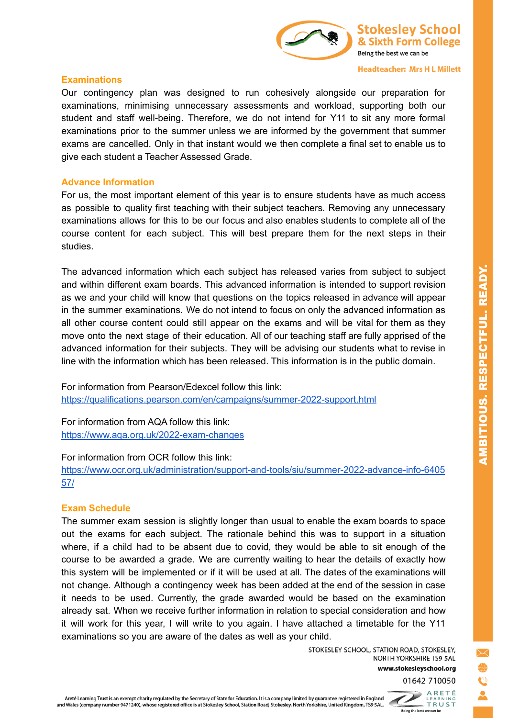

#### **Headteacher: Mrs H L Millett**

## **Examinations**

Our contingency plan was designed to run cohesively alongside our preparation for examinations, minimising unnecessary assessments and workload, supporting both our student and staff well-being. Therefore, we do not intend for Y11 to sit any more formal examinations prior to the summer unless we are informed by the government that summer exams are cancelled. Only in that instant would we then complete a final set to enable us to give each student a Teacher Assessed Grade.

#### **Advance Information**

For us, the most important element of this year is to ensure students have as much access as possible to quality first teaching with their subject teachers. Removing any unnecessary examinations allows for this to be our focus and also enables students to complete all of the course content for each subject. This will best prepare them for the next steps in their studies.

The advanced information which each subject has released varies from subject to subject and within different exam boards. This advanced information is intended to support revision as we and your child will know that questions on the topics released in advance will appear in the summer examinations. We do not intend to focus on only the advanced information as all other course content could still appear on the exams and will be vital for them as they move onto the next stage of their education. All of our teaching staff are fully apprised of the advanced information for their subjects. They will be advising our students what to revise in line with the information which has been released. This information is in the public domain.

For information from Pearson/Edexcel follow this link: <https://qualifications.pearson.com/en/campaigns/summer-2022-support.html>

For information from AQA follow this link: <https://www.aqa.org.uk/2022-exam-changes>

#### For information from OCR follow this link:

[https://www.ocr.org.uk/administration/support-and-tools/siu/summer-2022-advance-info-6405](https://www.ocr.org.uk/administration/support-and-tools/siu/summer-2022-advance-info-640557/) [57/](https://www.ocr.org.uk/administration/support-and-tools/siu/summer-2022-advance-info-640557/)

## **Exam Schedule**

The summer exam session is slightly longer than usual to enable the exam boards to space out the exams for each subject. The rationale behind this was to support in a situation where, if a child had to be absent due to covid, they would be able to sit enough of the course to be awarded a grade. We are currently waiting to hear the details of exactly how this system will be implemented or if it will be used at all. The dates of the examinations will not change. Although a contingency week has been added at the end of the session in case it needs to be used. Currently, the grade awarded would be based on the examination already sat. When we receive further information in relation to special consideration and how it will work for this year, I will write to you again. I have attached a timetable for the Y11 examinations so you are aware of the dates as well as your child.

> STOKESLEY SCHOOL, STATION ROAD, STOKESLEY, NORTH YORKSHIRE TS9 5AL www.stokesleyschool.org



AMBITIOUS. RESPECTFUL. READY.